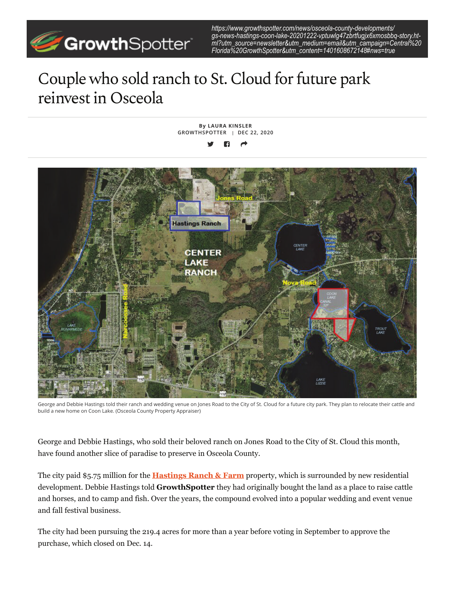

*https://www.growthspotter.com/news/osceola-county-developments/ gs-news-hastings-coon-lake-20201222-vptuwlg47zbrtfugjx6xmosbbq-story.html?utm\_source=newsletter&utm\_medium=email&utm\_campaign=Central%20 Florida%20GrowthSpotter&utm\_content=1401608672148#nws=true*

## Couple who sold ranch to St. Cloud for future park reinvest in Osceola



George and Debbie Hastings told their ranch and wedding venue on Jones Road to the City of St. Cloud for a future city park. They plan to relocate their cattle and build a new home on Coon Lake. (Osceola County Property Appraiser)

George and Debbie Hastings, who sold their beloved ranch on Jones Road to the City of St. Cloud this month, have found another slice of paradise to preserve in Osceola County.

The city paid \$5.75 million for the **Hastings Ranch & Farm** property, which is surrounded by new residential development. Debbie Hastings told **GrowthSpotter** they had originally bought the land as a place to raise cattle and horses, and to camp and fish. Over the years, the compound evolved into a popular wedding and event venue and fall festival business.

The city had been pursuing the 219.4 acres for more than a year before voting in September to approve the purchase, which closed on Dec. 14.